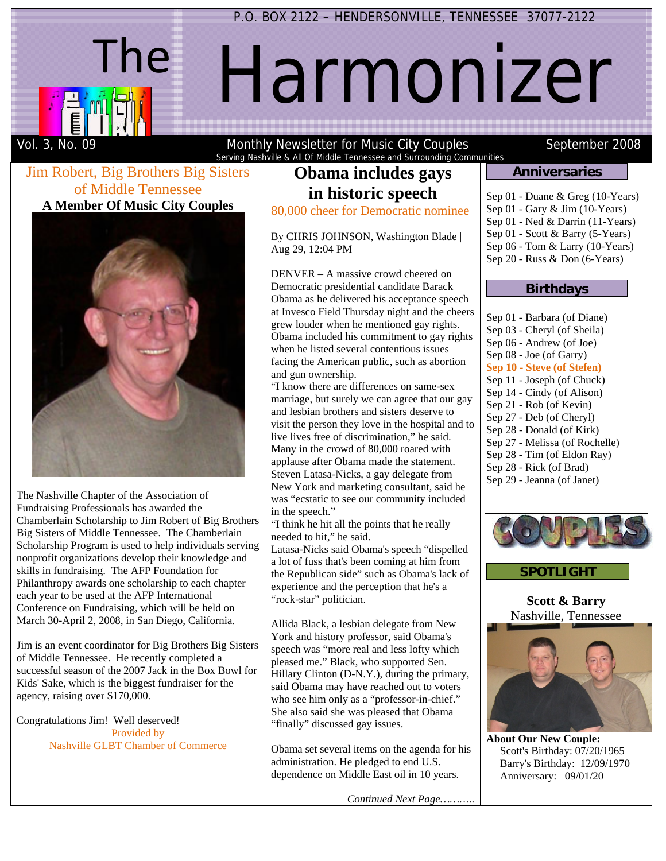

# Harmonizer

Vol. 3, No. 09 The Monthly Newsletter for Music City Couples September 2008 Serving Nashville & All Of Middle Tennessee and Surrounding Communities

#### Jim Robert, Big Brothers Big Sisters of Middle Tennessee **A Member Of Music City Couples**



The Nashville Chapter of the Association of Fundraising Professionals has awarded the Chamberlain Scholarship to Jim Robert of Big Brothers Big Sisters of Middle Tennessee. The Chamberlain Scholarship Program is used to help individuals serving nonprofit organizations develop their knowledge and skills in fundraising. The AFP Foundation for Philanthropy awards one scholarship to each chapter each year to be used at the AFP International Conference on Fundraising, which will be held on March 30-April 2, 2008, in San Diego, California.

Jim is an event coordinator for Big Brothers Big Sisters of Middle Tennessee. He recently completed a successful season of the 2007 Jack in the Box Bowl for Kids' Sake, which is the biggest fundraiser for the agency, raising over \$170,000.

Congratulations Jim! Well deserved! Provided by Nashville GLBT Chamber of Commerce

## **Obama includes gays in historic speech**

80,000 cheer for Democratic nominee

By CHRIS JOHNSON, Washington Blade | Aug 29, 12:04 PM

DENVER – A massive crowd cheered on Democratic presidential candidate Barack Obama as he delivered his acceptance speech at Invesco Field Thursday night and the cheers grew louder when he mentioned gay rights. Obama included his commitment to gay rights when he listed several contentious issues facing the American public, such as abortion and gun ownership.

"I know there are differences on same-sex marriage, but surely we can agree that our gay and lesbian brothers and sisters deserve to visit the person they love in the hospital and to live lives free of discrimination," he said. Many in the crowd of 80,000 roared with applause after Obama made the statement. Steven Latasa-Nicks, a gay delegate from New York and marketing consultant, said he was "ecstatic to see our community included in the speech."

"I think he hit all the points that he really needed to hit," he said.

Latasa-Nicks said Obama's speech "dispelled a lot of fuss that's been coming at him from the Republican side" such as Obama's lack of experience and the perception that he's a "rock-star" politician.

Allida Black, a lesbian delegate from New York and history professor, said Obama's speech was "more real and less lofty which pleased me." Black, who supported Sen. Hillary Clinton (D-N.Y.), during the primary, said Obama may have reached out to voters who see him only as a "professor-in-chief." She also said she was pleased that Obama "finally" discussed gay issues.

Obama set several items on the agenda for his administration. He pledged to end U.S. dependence on Middle East oil in 10 years.

*Continued Next Page………..* 

#### **Anniversaries**

- Sep 01 Duane & Greg (10-Years)
- Sep 01 Gary & Jim (10-Years)
- Sep 01 Ned & Darrin (11-Years)
- Sep 01 Scott & Barry (5-Years)
- Sep 06 Tom & Larry (10-Years)
- Sep 20 Russ & Don (6-Years)

#### **Birthdays**

| Sep 01 - Barbara (of Diane)    |
|--------------------------------|
| Sep 03 - Cheryl (of Sheila)    |
| Sep 06 - Andrew (of Joe)       |
| Sep 08 - Joe (of Garry)        |
| Sep 10 - Steve (of Stefen)     |
| Sep 11 - Joseph (of Chuck)     |
| Sep 14 - Cindy (of Alison)     |
| Sep 21 - Rob (of Kevin)        |
| Sep 27 - Deb (of Cheryl)       |
| Sep 28 - Donald (of Kirk)      |
| Sep 27 - Melissa (of Rochelle) |
| Sep 28 - Tim (of Eldon Ray)    |
| $\sim$ $\sim$ $\sim$           |

- Sep 28 Rick (of Brad)
- Sep 29 Jeanna (of Janet)





**Scott & Barry** Nashville, Tennessee



**About Our New Couple:** Scott's Birthday: 07/20/1965 Barry's Birthday: 12/09/1970 Anniversary: 09/01/20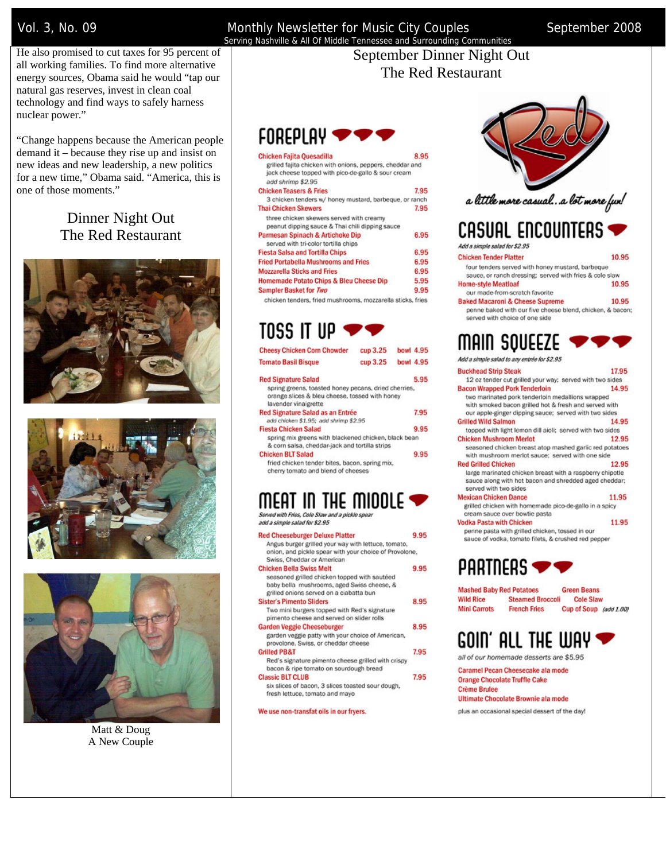Vol. 3, No. 09 **Monthly Newsletter for Music City Couples** September 2008 Serving Nashville & All Of Middle Tennessee and Surrounding Communities

He also promised to cut taxes for 95 percent of all working families. To find more alternative energy sources, Obama said he would "tap our natural gas reserves, invest in clean coal technology and find ways to safely harness nuclear power."

"Change happens because the American people demand it – because they rise up and insist on new ideas and new leadership, a new politics for a new time," Obama said. "America, this is one of those moments."

## Dinner Night Out The Red Restaurant







Matt & Doug A New Couple

#### September Dinner Night Out The Red Restaurant

| $\mathsf{FOR}\mathsf{FPL}\mathsf{AV} \blacktriangleright$                                                                           |      |
|-------------------------------------------------------------------------------------------------------------------------------------|------|
| <b>Chicken Fajita Quesadilla</b>                                                                                                    | 8.95 |
| grilled fajita chicken with onions, peppers, cheddar and<br>jack cheese topped with pico-de-gallo & sour cream<br>add shrimp \$2.95 |      |
| <b>Chicken Teasers &amp; Fries</b>                                                                                                  | 7.95 |
| 3 chicken tenders w/ honey mustard, barbeque, or ranch                                                                              |      |
| <b>Thai Chicken Skewers</b>                                                                                                         | 7.95 |
| three chicken skewers served with creamy<br>peanut dipping sauce & Thai chili dipping sauce                                         |      |
| Parmesan Spinach & Artichoke Dip<br>served with tri-color tortilla chips                                                            | 6.95 |
| <b>Fiesta Salsa and Tortilla Chips</b>                                                                                              | 6.95 |
| <b>Fried Portabella Mushrooms and Fries</b>                                                                                         | 6.95 |
| <b>Mozzarella Sticks and Fries</b>                                                                                                  | 6.95 |
| <b>Homemade Potato Chips &amp; Bleu Cheese Dip</b>                                                                                  | 5.95 |
| Sampler Basket for Two                                                                                                              | 9.95 |
| chicken tenders, fried mushrooms, mozzarella sticks, fries                                                                          |      |

## TOSS IT UP **V**

| <b>Cheesy Chicken Corn Chowder</b>                                                                                             | cup 3.25 | bowl 4.95 |
|--------------------------------------------------------------------------------------------------------------------------------|----------|-----------|
| <b>Tomato Basil Bisque</b>                                                                                                     | cup 3.25 | bowl 4.95 |
| <b>Red Signature Salad</b>                                                                                                     |          | 5.95      |
| spring greens, toasted honey pecans, dried cherries,<br>orange slices & bleu cheese, tossed with honey<br>lavender vinaigrette |          |           |
| Red Signature Salad as an Entrée<br>add chicken \$1.95; add shrimp \$2.95                                                      |          | 7.95      |
| <b>Fiesta Chicken Salad</b>                                                                                                    |          | 9.95      |
| spring mix greens with blackened chicken, black bean<br>& corn salsa, cheddar-jack and tortilla strips                         |          |           |
| <b>Chicken BLT Salad</b><br>fried chicken tender bites, bacon, spring mix,<br>cherry tomato and blend of cheeses               |          | 9.95      |
|                                                                                                                                |          |           |

#### MEAT IN THE MIDDLE  $\blacktriangleright$ Served with Fries, Cole Slaw and a pickle spea

add a simple salad for \$2.95

| <b>Red Cheeseburger Deluxe Platter</b>                 | Q Q5 |
|--------------------------------------------------------|------|
| Angus burger grilled your way with lettuce, tomato,    |      |
| onion, and pickle spear with your choice of Provolone, |      |
| Swiss, Cheddar or American                             |      |
| <b>Chicken Bella Swiss Melt</b>                        | 9.95 |
| seasoned grilled chicken topped with sautéed           |      |
| baby bella mushrooms, aged Swiss cheese, &             |      |
| grilled onions served on a ciabatta bun                |      |
| <b>Sister's Pimento Sliders</b>                        | 8.95 |
| Two mini burgers topped with Red's signature           |      |
| pimento cheese and served on slider rolls              |      |
| <b>Garden Veggie Cheeseburger</b>                      | 8.95 |
| garden veggie patty with your choice of American,      |      |
| provolone, Swiss, or cheddar cheese                    |      |
| <b>Grilled PB&amp;T</b>                                | 7.95 |
| Red's signature pimento cheese grilled with crispy     |      |
| bacon & ripe tomato on sourdough bread                 |      |
| <b>Classic BLT CLUB</b>                                | 7.95 |
| six slices of bacon, 3 slices toasted sour dough,      |      |
| fresh lettuce, tomato and mayo                         |      |

We use non-transfat oils in our fryers.





# CASUAL ENCOUNTERS

Add a simple salad for \$2.95 **Chicken Tender Platter** 

- 10.95 four tenders served with honey mustard, barbeque sauce, or ranch dressing; served with fries & cole slaw **Home-style Meatloaf** 10.95
- our made-from-scratch favorite **Baked Macaroni & Cheese Supreme** 10.95

penne baked with our five cheese blend, chicken, & bacon; served with choice of one side

|  |  | MAIN SQUEEZE $\blacktriangleright\blacktriangleright\blacktriangleright$ |  |
|--|--|--------------------------------------------------------------------------|--|
|  |  |                                                                          |  |

| AGO A SIMOJE SAVIO LO ANY ENDEPTION 3Z.33                                                                   |       |
|-------------------------------------------------------------------------------------------------------------|-------|
| <b>Buckhead Strip Steak</b>                                                                                 | 17.95 |
| 12 oz tender cut grilled your way; served with two sides                                                    |       |
| <b>Bacon Wrapped Pork Tenderloin</b>                                                                        | 14.95 |
| two marinated pork tenderloin medallions wrapped                                                            |       |
| with smoked bacon grilled hot & fresh and served with                                                       |       |
| our apple-ginger dipping sauce; served with two sides                                                       |       |
| <b>Grilled Wild Salmon</b>                                                                                  | 14.95 |
| topped with light lemon dill aioli; served with two sides                                                   |       |
| <b>Chicken Mushroom Merlot</b>                                                                              | 12.95 |
| seasoned chicken breast atop mashed garlic red potatoes<br>with mushroom merlot sauce; served with one side |       |
| <b>Red Grilled Chicken</b>                                                                                  | 12.95 |
| large marinated chicken breast with a raspberry chipotle                                                    |       |
| sauce along with hot bacon and shredded aged cheddar;<br>served with two sides                              |       |
| <b>Mexican Chicken Dance</b>                                                                                | 11.95 |
| grilled chicken with homemade pico-de-gallo in a spicy                                                      |       |
| cream sauce over bowtie pasta                                                                               |       |
| <b>Vodka Pasta with Chicken</b>                                                                             | 11.95 |
|                                                                                                             |       |

penne pasta with grilled chicken, tossed in our sauce of vodka, tomato filets, & crushed red pepper

 $PARTIERS$ 

| <b>Mashed Baby Red Potatoes</b> |                         | <b>Green Beans</b>     |  |
|---------------------------------|-------------------------|------------------------|--|
| <b>Wild Rice</b>                | <b>Steamed Broccoli</b> | <b>Cole Slaw</b>       |  |
| <b>Mini Carrots</b>             | <b>French Fries</b>     | Cup of Soup (add 1.00) |  |

# COIN' ALL THE WAY

all of our homemade desserts are \$5.95

Caramel Pecan Cheesecake ala mode **Orange Chocolate Truffle Cake Crème Brulee** Ultimate Chocolate Brownie ala mode

plus an occasional special dessert of the day!